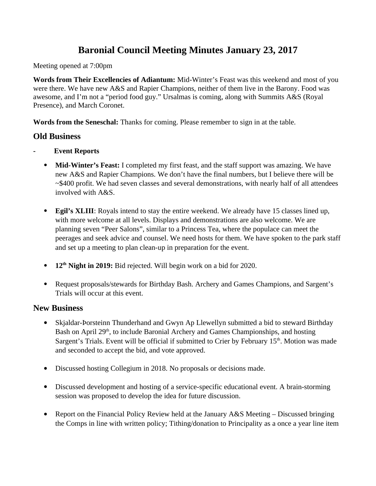# **Baronial Council Meeting Minutes January 23, 2017**

Meeting opened at 7:00pm

**Words from Their Excellencies of Adiantum:** Mid-Winter's Feast was this weekend and most of you were there. We have new A&S and Rapier Champions, neither of them live in the Barony. Food was awesome, and I'm not a "period food guy." Ursalmas is coming, along with Summits A&S (Royal Presence), and March Coronet.

**Words from the Seneschal:** Thanks for coming. Please remember to sign in at the table.

# **Old Business**

- **Event Reports**
	- **Mid-Winter's Feast:** I completed my first feast, and the staff support was amazing. We have new A&S and Rapier Champions. We don't have the final numbers, but I believe there will be ~\$400 profit. We had seven classes and several demonstrations, with nearly half of all attendees involved with A&S.
	- **Egil's XLIII**: Royals intend to stay the entire weekend. We already have 15 classes lined up, with more welcome at all levels. Displays and demonstrations are also welcome. We are planning seven "Peer Salons", similar to a Princess Tea, where the populace can meet the peerages and seek advice and counsel. We need hosts for them. We have spoken to the park staff and set up a meeting to plan clean-up in preparation for the event.
	- **12th Night in 2019:** Bid rejected. Will begin work on a bid for 2020.
	- Request proposals/stewards for Birthday Bash. Archery and Games Champions, and Sargent's Trials will occur at this event.

# **New Business**

- Skjaldar-Þorsteinn Thunderhand and Gwyn Ap Llewellyn submitted a bid to steward Birthday Bash on April 29<sup>th</sup>, to include Baronial Archery and Games Championships, and hosting Sargent's Trials. Event will be official if submitted to Crier by February 15<sup>th</sup>. Motion was made and seconded to accept the bid, and vote approved.
- Discussed hosting Collegium in 2018. No proposals or decisions made.
- Discussed development and hosting of a service-specific educational event. A brain-storming session was proposed to develop the idea for future discussion.
- Report on the Financial Policy Review held at the January A&S Meeting Discussed bringing the Comps in line with written policy; Tithing/donation to Principality as a once a year line item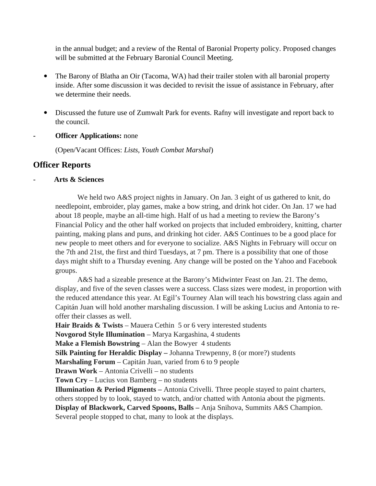in the annual budget; and a review of the Rental of Baronial Property policy. Proposed changes will be submitted at the February Baronial Council Meeting.

- The Barony of Blatha an Oir (Tacoma, WA) had their trailer stolen with all baronial property inside. After some discussion it was decided to revisit the issue of assistance in February, after we determine their needs.
- Discussed the future use of Zumwalt Park for events. Rafny will investigate and report back to the council.
- **- Officer Applications:** none

(Open/Vacant Offices: *Lists, Youth Combat Marshal*)

# **Officer Reports**

# - **Arts & Sciences**

We held two A&S project nights in January. On Jan. 3 eight of us gathered to knit, do needlepoint, embroider, play games, make a bow string, and drink hot cider. On Jan. 17 we had about 18 people, maybe an all-time high. Half of us had a meeting to review the Barony's Financial Policy and the other half worked on projects that included embroidery, knitting, charter painting, making plans and puns, and drinking hot cider. A&S Continues to be a good place for new people to meet others and for everyone to socialize. A&S Nights in February will occur on the 7th and 21st, the first and third Tuesdays, at 7 pm. There is a possibility that one of those days might shift to a Thursday evening. Any change will be posted on the Yahoo and Facebook groups.

A&S had a sizeable presence at the Barony's Midwinter Feast on Jan. 21. The demo, display, and five of the seven classes were a success. Class sizes were modest, in proportion with the reduced attendance this year. At Egil's Tourney Alan will teach his bowstring class again and Capitán Juan will hold another marshaling discussion. I will be asking Lucius and Antonia to reoffer their classes as well.

**Hair Braids & Twists** – Mauera Cethin 5 or 6 very interested students

**Novgorod Style Illumination** – Marya Kargashina, 4 students

**Make a Flemish Bowstring** – Alan the Bowyer 4 students

**Silk Painting for Heraldic Display –** Johanna Trewpenny, 8 (or more?) students

**Marshaling Forum** – Capitán Juan, varied from 6 to 9 people

**Drawn Work** – Antonia Crivelli – no students

**Town Cry** – Lucius von Bamberg – no students

**Illumination & Period Pigments –** Antonia Crivelli. Three people stayed to paint charters, others stopped by to look, stayed to watch, and/or chatted with Antonia about the pigments. **Display of Blackwork, Carved Spoons, Balls –** Anja Snihova, Summits A&S Champion. Several people stopped to chat, many to look at the displays.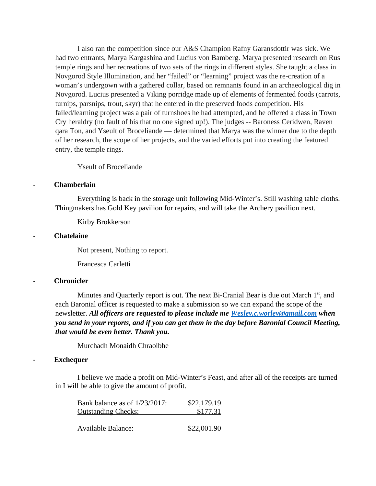I also ran the competition since our A&S Champion Rafny Garansdottir was sick. We had two entrants, Marya Kargashina and Lucius von Bamberg. Marya presented research on Rus temple rings and her recreations of two sets of the rings in different styles. She taught a class in Novgorod Style Illumination, and her "failed" or "learning" project was the re-creation of a woman's undergown with a gathered collar, based on remnants found in an archaeological dig in Novgorod. Lucius presented a Viking porridge made up of elements of fermented foods (carrots, turnips, parsnips, trout, skyr) that he entered in the preserved foods competition. His failed/learning project was a pair of turnshoes he had attempted, and he offered a class in Town Cry heraldry (no fault of his that no one signed up!). The judges -- Baroness Ceridwen, Raven qara Ton, and Yseult of Broceliande — determined that Marya was the winner due to the depth of her research, the scope of her projects, and the varied efforts put into creating the featured entry, the temple rings.

Yseult of Broceliande

#### **- Chamberlain**

Everything is back in the storage unit following Mid-Winter's. Still washing table cloths. Thingmakers has Gold Key pavilion for repairs, and will take the Archery pavilion next.

Kirby Brokkerson

#### **- Chatelaine**

Not present, Nothing to report.

Francesca Carletti

#### **- Chronicler**

Minutes and Quarterly report is out. The next Bi-Cranial Bear is due out March  $1<sup>st</sup>$ , and each Baronial officer is requested to make a submission so we can expand the scope of the newsletter. *All officers are requested to please include me [Wesley.c.worley@gmail.com](mailto:Wesley.c.worley@gmail.com) when you send in your reports, and if you can get them in the day before Baronial Council Meeting, that would be even better. Thank you.*

Murchadh Monaidh Chraoibhe

# **- Exchequer**

I believe we made a profit on Mid-Winter's Feast, and after all of the receipts are turned in I will be able to give the amount of profit.

| Bank balance as of 1/23/2017: | \$22,179.19 |
|-------------------------------|-------------|
| <b>Outstanding Checks:</b>    | \$177.31    |
|                               |             |
| Available Balance:            | \$22,001.90 |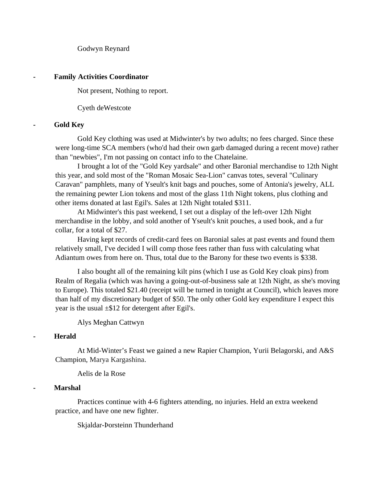Godwyn Reynard

#### **- Family Activities Coordinator**

Not present, Nothing to report.

Cyeth deWestcote

#### **- Gold Key**

Gold Key clothing was used at Midwinter's by two adults; no fees charged. Since these were long-time SCA members (who'd had their own garb damaged during a recent move) rather than "newbies", I'm not passing on contact info to the Chatelaine.

I brought a lot of the "Gold Key yardsale" and other Baronial merchandise to 12th Night this year, and sold most of the "Roman Mosaic Sea-Lion" canvas totes, several "Culinary Caravan" pamphlets, many of Yseult's knit bags and pouches, some of Antonia's jewelry, ALL the remaining pewter Lion tokens and most of the glass 11th Night tokens, plus clothing and other items donated at last Egil's. Sales at 12th Night totaled \$311.

At Midwinter's this past weekend, I set out a display of the left-over 12th Night merchandise in the lobby, and sold another of Yseult's knit pouches, a used book, and a fur collar, for a total of \$27.

Having kept records of credit-card fees on Baronial sales at past events and found them relatively small, I've decided I will comp those fees rather than fuss with calculating what Adiantum owes from here on. Thus, total due to the Barony for these two events is \$338.

I also bought all of the remaining kilt pins (which I use as Gold Key cloak pins) from Realm of Regalia (which was having a going-out-of-business sale at 12th Night, as she's moving to Europe). This totaled \$21.40 (receipt will be turned in tonight at Council), which leaves more than half of my discretionary budget of \$50. The only other Gold key expenditure I expect this year is the usual  $\pm$ \$12 for detergent after Egil's.

Alys Meghan Cattwyn

# **- Herald**

At Mid-Winter's Feast we gained a new Rapier Champion, Yurii Belagorski, and A&S Champion, Marya Kargashina.

Aelis de la Rose

# **- Marshal**

Practices continue with 4-6 fighters attending, no injuries. Held an extra weekend practice, and have one new fighter.

Skjaldar-Þorsteinn Thunderhand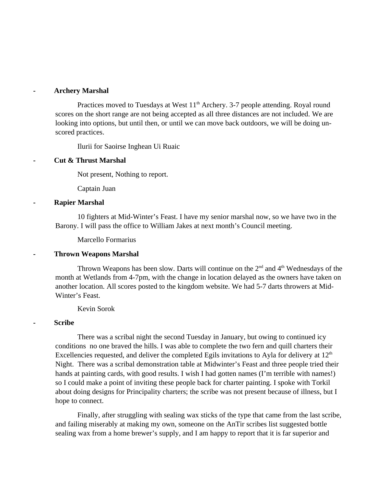#### **- Archery Marshal**

Practices moved to Tuesdays at West 11<sup>th</sup> Archery. 3-7 people attending. Royal round scores on the short range are not being accepted as all three distances are not included. We are looking into options, but until then, or until we can move back outdoors, we will be doing unscored practices.

Ilurii for Saoirse Inghean Ui Ruaic

# **- Cut & Thrust Marshal**

Not present, Nothing to report.

Captain Juan

#### **- Rapier Marshal**

10 fighters at Mid-Winter's Feast. I have my senior marshal now, so we have two in the Barony. I will pass the office to William Jakes at next month's Council meeting.

Marcello Formarius

# **- Thrown Weapons Marshal**

Thrown Weapons has been slow. Darts will continue on the  $2<sup>nd</sup>$  and  $4<sup>th</sup>$  Wednesdays of the month at Wetlands from 4-7pm, with the change in location delayed as the owners have taken on another location. All scores posted to the kingdom website. We had 5-7 darts throwers at Mid-Winter's Feast.

Kevin Sorok

# **- Scribe**

There was a scribal night the second Tuesday in January, but owing to continued icy conditions no one braved the hills. I was able to complete the two fern and quill charters their Excellencies requested, and deliver the completed Egils invitations to Ayla for delivery at  $12<sup>th</sup>$ Night. There was a scribal demonstration table at Midwinter's Feast and three people tried their hands at painting cards, with good results. I wish I had gotten names (I'm terrible with names!) so I could make a point of inviting these people back for charter painting. I spoke with Torkil about doing designs for Principality charters; the scribe was not present because of illness, but I hope to connect.

Finally, after struggling with sealing wax sticks of the type that came from the last scribe, and failing miserably at making my own, someone on the AnTir scribes list suggested bottle sealing wax from a home brewer's supply, and I am happy to report that it is far superior and